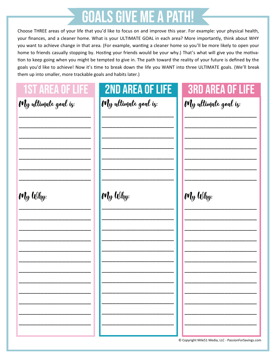#### **GOALS GIVE ME A PATH!**

Choose THREE areas of your life that you'd like to focus on and improve this year. For example: your physical health, your finances, and a cleaner home. What is your ULTIMATE GOAL in each area? More importantly, think about WHY you want to achieve change in that area. (For example, wanting a cleaner home so you'll be more likely to open your home to friends casually stopping by. Hosting your friends would be your why.) That's what will give you the motivation to keep going when you might be tempted to give in. The path toward the reality of your future is defined by the goals you'd like to achieve! Now it's time to break down the life you WANT into three ULTIMATE goals. (We'll break them up into smaller, more trackable goals and habits later.)

| <b>1ST AREA OF LIFE</b> | <b>2ND AREA OF LIFE</b> | <b>3RD AREA OF LIFE</b>                               |
|-------------------------|-------------------------|-------------------------------------------------------|
| My ultimate goal is:    | My ultimate goal is:    | My ultimate goal iz:                                  |
| My Why:                 | My Why:                 | My Why:                                               |
|                         |                         |                                                       |
|                         |                         | © Copyright Mile51 Media, LLC - PassionForSavings.com |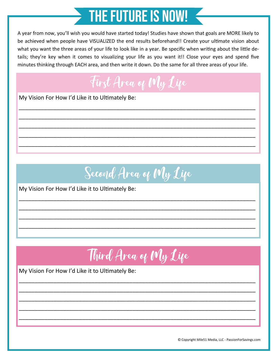# **THE FUTURE IS NOW!**

A year from now, you'll wish you would have started today! Studies have shown that goals are MORE likely to be achieved when people have VISUALIZED the end results beforehand!! Create your ultimate vision about what you want the three areas of your life to look like in a year. Be specific when writing about the little details; they're key when it comes to visualizing your life as you want it!! Close your eyes and spend five minutes thinking through EACH area, and then write it down. Do the same for all three areas of your life.



\_\_\_\_\_\_\_\_\_\_\_\_\_\_\_\_\_\_\_\_\_\_\_\_\_\_\_\_\_\_\_\_\_\_\_\_\_\_\_\_\_\_\_\_\_\_\_\_\_\_\_\_\_\_\_\_\_\_\_\_\_\_\_\_\_\_\_\_\_\_\_\_\_\_\_

\_\_\_\_\_\_\_\_\_\_\_\_\_\_\_\_\_\_\_\_\_\_\_\_\_\_\_\_\_\_\_\_\_\_\_\_\_\_\_\_\_\_\_\_\_\_\_\_\_\_\_\_\_\_\_\_\_\_\_\_\_\_\_\_\_\_\_\_\_\_\_\_\_\_\_

\_\_\_\_\_\_\_\_\_\_\_\_\_\_\_\_\_\_\_\_\_\_\_\_\_\_\_\_\_\_\_\_\_\_\_\_\_\_\_\_\_\_\_\_\_\_\_\_\_\_\_\_\_\_\_\_\_\_\_\_\_\_\_\_\_\_\_\_\_\_\_\_\_\_\_

\_\_\_\_\_\_\_\_\_\_\_\_\_\_\_\_\_\_\_\_\_\_\_\_\_\_\_\_\_\_\_\_\_\_\_\_\_\_\_\_\_\_\_\_\_\_\_\_\_\_\_\_\_\_\_\_\_\_\_\_\_\_\_\_\_\_\_\_\_\_\_\_\_\_\_

\_\_\_\_\_\_\_\_\_\_\_\_\_\_\_\_\_\_\_\_\_\_\_\_\_\_\_\_\_\_\_\_\_\_\_\_\_\_\_\_\_\_\_\_\_\_\_\_\_\_\_\_\_\_\_\_\_\_\_\_\_\_\_\_\_\_\_\_\_\_\_\_\_\_\_

My Vision For How I'd Like it to Ultimately Be:

Second Area of My Life

\_\_\_\_\_\_\_\_\_\_\_\_\_\_\_\_\_\_\_\_\_\_\_\_\_\_\_\_\_\_\_\_\_\_\_\_\_\_\_\_\_\_\_\_\_\_\_\_\_\_\_\_\_\_\_\_\_\_\_\_\_\_\_\_\_\_\_\_\_\_\_\_\_\_\_

\_\_\_\_\_\_\_\_\_\_\_\_\_\_\_\_\_\_\_\_\_\_\_\_\_\_\_\_\_\_\_\_\_\_\_\_\_\_\_\_\_\_\_\_\_\_\_\_\_\_\_\_\_\_\_\_\_\_\_\_\_\_\_\_\_\_\_\_\_\_\_\_\_\_\_

\_\_\_\_\_\_\_\_\_\_\_\_\_\_\_\_\_\_\_\_\_\_\_\_\_\_\_\_\_\_\_\_\_\_\_\_\_\_\_\_\_\_\_\_\_\_\_\_\_\_\_\_\_\_\_\_\_\_\_\_\_\_\_\_\_\_\_\_\_\_\_\_\_\_\_

\_\_\_\_\_\_\_\_\_\_\_\_\_\_\_\_\_\_\_\_\_\_\_\_\_\_\_\_\_\_\_\_\_\_\_\_\_\_\_\_\_\_\_\_\_\_\_\_\_\_\_\_\_\_\_\_\_\_\_\_\_\_\_\_\_\_\_\_\_\_\_\_\_\_\_

My Vision For How I'd Like it to Ultimately Be:

Third Area of My Life

\_\_\_\_\_\_\_\_\_\_\_\_\_\_\_\_\_\_\_\_\_\_\_\_\_\_\_\_\_\_\_\_\_\_\_\_\_\_\_\_\_\_\_\_\_\_\_\_\_\_\_\_\_\_\_\_\_\_\_\_\_\_\_\_\_\_\_\_\_\_\_\_\_\_\_

\_\_\_\_\_\_\_\_\_\_\_\_\_\_\_\_\_\_\_\_\_\_\_\_\_\_\_\_\_\_\_\_\_\_\_\_\_\_\_\_\_\_\_\_\_\_\_\_\_\_\_\_\_\_\_\_\_\_\_\_\_\_\_\_\_\_\_\_\_\_\_\_\_\_\_

\_\_\_\_\_\_\_\_\_\_\_\_\_\_\_\_\_\_\_\_\_\_\_\_\_\_\_\_\_\_\_\_\_\_\_\_\_\_\_\_\_\_\_\_\_\_\_\_\_\_\_\_\_\_\_\_\_\_\_\_\_\_\_\_\_\_\_\_\_\_\_\_\_\_\_

\_\_\_\_\_\_\_\_\_\_\_\_\_\_\_\_\_\_\_\_\_\_\_\_\_\_\_\_\_\_\_\_\_\_\_\_\_\_\_\_\_\_\_\_\_\_\_\_\_\_\_\_\_\_\_\_\_\_\_\_\_\_\_\_\_\_\_\_\_\_\_\_\_\_\_

\_\_\_\_\_\_\_\_\_\_\_\_\_\_\_\_\_\_\_\_\_\_\_\_\_\_\_\_\_\_\_\_\_\_\_\_\_\_\_\_\_\_\_\_\_\_\_\_\_\_\_\_\_\_\_\_\_\_\_\_\_\_\_\_\_\_\_\_\_\_\_\_\_\_\_

My Vision For How I'd Like it to Ultimately Be:

© Copyright Mile51 Media, LLC - PassionForSavings.com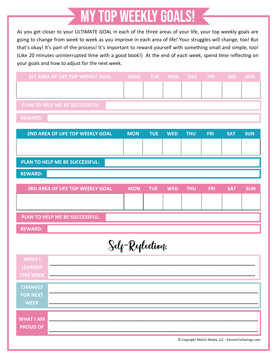### **MY TOP WEEKLY GOALS!**

As you get closer to your ULTIMATE GOAL in each of the three areas of your life, your top weekly goals are going to change from week to week as you improve in each area of life! Your struggles will change, too! But that's okay! It's part of the process! It's important to reward yourself with something small and simple, too! (Like 20 minutes uninterrupted time with a good book!) At the end of each week, spend time reflecting on your goals and how to adjust for the next week.

|                                     | <b>1ST AREA OF LIFE TOP WEEKLY GOAL</b> | <b>MON</b>       | <b>TUE</b> | <b>WED</b> | <b>THU</b> | <b>FRI</b>                                            | <b>SAT</b> | <b>SUN</b> |
|-------------------------------------|-----------------------------------------|------------------|------------|------------|------------|-------------------------------------------------------|------------|------------|
|                                     |                                         |                  |            |            |            |                                                       |            |            |
|                                     |                                         |                  |            |            |            |                                                       |            |            |
|                                     | PLAN TO HELP ME BE SUCCESSFUL:          |                  |            |            |            |                                                       |            |            |
| <b>REWARD:</b>                      |                                         |                  |            |            |            |                                                       |            |            |
|                                     | 2ND AREA OF LIFE TOP WEEKLY GOAL        | <b>MON</b>       | <b>TUE</b> | <b>WED</b> | <b>THU</b> | <b>FRI</b>                                            | <b>SAT</b> | <b>SUN</b> |
|                                     |                                         |                  |            |            |            |                                                       |            |            |
|                                     | PLAN TO HELP ME BE SUCCESSFUL:          |                  |            |            |            |                                                       |            |            |
| <b>REWARD:</b>                      |                                         |                  |            |            |            |                                                       |            |            |
|                                     |                                         |                  |            |            |            |                                                       |            |            |
|                                     | <b>3RD AREA OF LIFE TOP WEEKLY GOAL</b> | <b>MON</b>       | <b>TUE</b> | <b>WED</b> | <b>THU</b> | <b>FRI</b>                                            | <b>SAT</b> | <b>SUN</b> |
|                                     |                                         |                  |            |            |            |                                                       |            |            |
|                                     |                                         |                  |            |            |            |                                                       |            |            |
|                                     | PLAN TO HELP ME BE SUCCESSFUL:          |                  |            |            |            |                                                       |            |            |
| <b>REWARD:</b>                      |                                         |                  |            |            |            |                                                       |            |            |
|                                     |                                         |                  |            |            |            |                                                       |            |            |
|                                     |                                         | Self-Reflection: |            |            |            |                                                       |            |            |
| <b>WHAT I</b>                       |                                         |                  |            |            |            |                                                       |            |            |
| <b>LEARNED</b>                      |                                         |                  |            |            |            |                                                       |            |            |
| <b>THIS WEEK</b>                    |                                         |                  |            |            |            |                                                       |            |            |
| <b>CHANGES</b>                      |                                         |                  |            |            |            |                                                       |            |            |
| <b>FOR NEXT</b>                     |                                         |                  |            |            |            |                                                       |            |            |
| <b>WEEK</b>                         |                                         |                  |            |            |            |                                                       |            |            |
|                                     |                                         |                  |            |            |            |                                                       |            |            |
| <b>WHAT I AM</b><br><b>PROUD OF</b> |                                         |                  |            |            |            |                                                       |            |            |
|                                     |                                         |                  |            |            |            |                                                       |            |            |
|                                     |                                         |                  |            |            |            | © Copyright Mile51 Media, LLC - PassionForSavings.com |            |            |